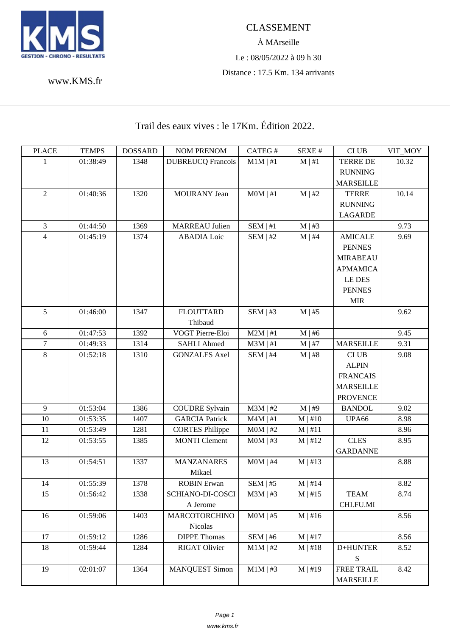

www.KMS.fr

## Trail des eaux vives : le 17Km. Édition 2022.

| <b>PLACE</b>   | <b>TEMPS</b> | <b>DOSSARD</b> | <b>NOM PRENOM</b>        | CATEG#        | SEXE #       | <b>CLUB</b>       | VIT_MOY |
|----------------|--------------|----------------|--------------------------|---------------|--------------|-------------------|---------|
| 1              | 01:38:49     | 1348           | <b>DUBREUCQ Francois</b> | $M1M \mid #1$ | $M \mid #1$  | <b>TERRE DE</b>   | 10.32   |
|                |              |                |                          |               |              | <b>RUNNING</b>    |         |
|                |              |                |                          |               |              | <b>MARSEILLE</b>  |         |
| $\overline{2}$ | 01:40:36     | 1320           | <b>MOURANY</b> Jean      | $MOM$   #1    | M   #2       | <b>TERRE</b>      | 10.14   |
|                |              |                |                          |               |              | <b>RUNNING</b>    |         |
|                |              |                |                          |               |              | <b>LAGARDE</b>    |         |
| 3              | 01:44:50     | 1369           | <b>MARREAU Julien</b>    | SEM   #1      | $M \mid #3$  |                   | 9.73    |
| $\overline{4}$ | 01:45:19     | 1374           | <b>ABADIA</b> Loic       | SEM   #2      | $M \mid #4$  | <b>AMICALE</b>    | 9.69    |
|                |              |                |                          |               |              | <b>PENNES</b>     |         |
|                |              |                |                          |               |              | <b>MIRABEAU</b>   |         |
|                |              |                |                          |               |              | <b>APMAMICA</b>   |         |
|                |              |                |                          |               |              | LE DES            |         |
|                |              |                |                          |               |              | <b>PENNES</b>     |         |
|                |              |                |                          |               |              | <b>MIR</b>        |         |
| 5              | 01:46:00     | 1347           | <b>FLOUTTARD</b>         | SEM   #3      | $M \mid #5$  |                   | 9.62    |
|                |              |                | Thibaud                  |               |              |                   |         |
| 6              | 01:47:53     | 1392           | VOGT Pierre-Eloi         | $M2M$   #1    | $M \mid #6$  |                   | 9.45    |
| $\overline{7}$ | 01:49:33     | 1314           | <b>SAHLI Ahmed</b>       | $M3M$   #1    | $M \mid #7$  | <b>MARSEILLE</b>  | 9.31    |
| $8\,$          | 01:52:18     | 1310           | <b>GONZALES Axel</b>     | $SEM$   #4    | M   #8       | <b>CLUB</b>       | 9.08    |
|                |              |                |                          |               |              | <b>ALPIN</b>      |         |
|                |              |                |                          |               |              | <b>FRANCAIS</b>   |         |
|                |              |                |                          |               |              | <b>MARSEILLE</b>  |         |
|                |              |                |                          |               |              | <b>PROVENCE</b>   |         |
| 9              | 01:53:04     | 1386           | <b>COUDRE Sylvain</b>    | $M3M$   #2    | $M \mid #9$  | <b>BANDOL</b>     | 9.02    |
| $10\,$         | 01:53:35     | 1407           | <b>GARCIA Patrick</b>    | $M4M \mid #1$ | $M \mid #10$ | UPA66             | 8.98    |
| 11             | 01:53:49     | 1281           | <b>CORTES Philippe</b>   | $MOM$   #2    | $M \mid #11$ |                   | 8.96    |
| 12             | 01:53:55     | 1385           | <b>MONTI</b> Clement     | $MOM$   #3    | $M \mid #12$ | <b>CLES</b>       | 8.95    |
|                |              |                |                          |               |              | <b>GARDANNE</b>   |         |
| 13             | 01:54:51     | 1337           | <b>MANZANARES</b>        | $MOM$   #4    | $M \mid #13$ |                   | 8.88    |
|                |              |                | Mikael                   |               |              |                   |         |
| 14             | 01:55:39     | 1378           | <b>ROBIN</b> Erwan       | SEM   #5      | $M \mid #14$ |                   | 8.82    |
| 15             | 01:56:42     | 1338           | SCHIANO-DI-COSCI         | $M3M$   #3    | $M \mid #15$ | <b>TEAM</b>       | 8.74    |
|                |              |                | A Jerome                 |               |              | CHI.FU.MI         |         |
| 16             | 01:59:06     | 1403           | <b>MARCOTORCHINO</b>     | $MOM$   #5    | $M \mid #16$ |                   | 8.56    |
|                |              |                | Nicolas                  |               |              |                   |         |
| 17             | 01:59:12     | 1286           | <b>DIPPE Thomas</b>      | SEM   #6      | $M$   #17    |                   | 8.56    |
| 18             | 01:59:44     | 1284           | <b>RIGAT Olivier</b>     | $M1M$   #2    | $M \mid #18$ | D+HUNTER          | 8.52    |
|                |              |                |                          |               |              | S                 |         |
| 19             | 02:01:07     | 1364           | <b>MANQUEST Simon</b>    | $M1M$   #3    | $M \mid #19$ | <b>FREE TRAIL</b> | 8.42    |
|                |              |                |                          |               |              | <b>MARSEILLE</b>  |         |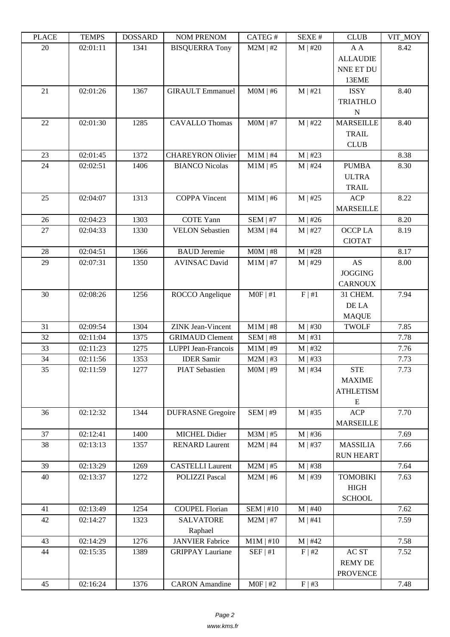| ם בתונד | L LIVIL D | <b>DOPPULP</b> | <b>TAQIMET IZETAQIME</b>    | $CALU \pi$  | JLΛL π       | <b>CEOD</b>                                          | $V11$ $V1$ |
|---------|-----------|----------------|-----------------------------|-------------|--------------|------------------------------------------------------|------------|
| 20      | 02:01:11  | 1341           | <b>BISQUERRA Tony</b>       | $M2M$   #2  | $M$   #20    | A A<br><b>ALLAUDIE</b><br>NNE ET DU<br>13EME         | 8.42       |
| 21      | 02:01:26  | 1367           | <b>GIRAULT</b> Emmanuel     | $MOM$   #6  | M   #21      | <b>ISSY</b><br><b>TRIATHLO</b><br>$\mathbf N$        | 8.40       |
| 22      | 02:01:30  | 1285           | <b>CAVALLO Thomas</b>       | $MOM$   #7  | $M$   #22    | <b>MARSEILLE</b><br><b>TRAIL</b><br><b>CLUB</b>      | 8.40       |
| 23      | 02:01:45  | 1372           | <b>CHAREYRON Olivier</b>    | $M1M$   #4  | $M$   #23    |                                                      | 8.38       |
| 24      | 02:02:51  | 1406           | <b>BIANCO Nicolas</b>       | $M1M$   #5  | $M$   #24    | <b>PUMBA</b><br><b>ULTRA</b><br><b>TRAIL</b>         | 8.30       |
| 25      | 02:04:07  | 1313           | <b>COPPA Vincent</b>        | $M1M$   #6  | $M$   #25    | $\sf{ACP}$<br><b>MARSEILLE</b>                       | 8.22       |
| 26      | 02:04:23  | 1303           | <b>COTE Yann</b>            | $SEM$   #7  | $M$   #26    |                                                      | 8.20       |
| 27      | 02:04:33  | 1330           | <b>VELON Sebastien</b>      | $M3M$   #4  | $M$   #27    | OCCP LA<br><b>CIOTAT</b>                             | 8.19       |
| 28      | 02:04:51  | 1366           | <b>BAUD</b> Jeremie         | $MOM$   #8  | $M$   #28    |                                                      | 8.17       |
| 29      | 02:07:31  | 1350           | <b>AVINSAC David</b>        | $M1M$   #7  | $M$   #29    | AS<br><b>JOGGING</b><br><b>CARNOUX</b>               | 8.00       |
| 30      | 02:08:26  | 1256           | ROCCO Angelique             | $MOF$   #1  | F   #1       | 31 CHEM.<br>DE LA<br><b>MAQUE</b>                    | 7.94       |
| 31      | 02:09:54  | 1304           | <b>ZINK</b> Jean-Vincent    | $M1M$   #8  | $M$   #30    | <b>TWOLF</b>                                         | 7.85       |
| 32      | 02:11:04  | 1375           | <b>GRIMAUD Clement</b>      | $SEM$   #8  | M   #31      |                                                      | 7.78       |
| 33      | 02:11:23  | 1275           | LUPPI Jean-Francois         | $M1M$   #9  | $M$   #32    |                                                      | 7.76       |
| 34      | 02:11:56  | 1353           | <b>IDER Samir</b>           | $M2M$   #3  | $M$   #33    |                                                      | 7.73       |
| 35      | 02:11:59  | 1277           | <b>PIAT Sebastien</b>       | $MOM$   #9  | $M \mid #34$ | <b>STE</b><br><b>MAXIME</b><br><b>ATHLETISM</b><br>E | 7.73       |
| 36      | 02:12:32  | 1344           | <b>DUFRASNE</b> Gregoire    | SEM   #9    | M   #35      | <b>ACP</b><br><b>MARSEILLE</b>                       | 7.70       |
| 37      | 02:12:41  | 1400           | MICHEL Didier               | $M3M$   #5  | $M$   #36    |                                                      | 7.69       |
| 38      | 02:13:13  | 1357           | <b>RENARD Laurent</b>       | $M2M$   #4  | $M$   #37    | <b>MASSILIA</b><br><b>RUN HEART</b>                  | 7.66       |
| 39      | 02:13:29  | 1269           | <b>CASTELLI</b> Laurent     | $M2M$   #5  | $M$   #38    |                                                      | 7.64       |
| 40      | 02:13:37  | 1272           | <b>POLIZZI Pascal</b>       | $M2M$   #6  | $M \mid #39$ | <b>TOMOBIKI</b><br>HIGH<br><b>SCHOOL</b>             | 7.63       |
| 41      | 02:13:49  | 1254           | <b>COUPEL Florian</b>       | SEM   #10   | $M$   #40    |                                                      | 7.62       |
| 42      | 02:14:27  | 1323           | <b>SALVATORE</b><br>Raphael | $M2M$   #7  | M   #41      |                                                      | 7.59       |
| 43      | 02:14:29  | 1276           | <b>JANVIER Fabrice</b>      | $M1M$   #10 | M   #42      |                                                      | 7.58       |
| 44      | 02:15:35  | 1389           | <b>GRIPPAY Lauriane</b>     | SEF   #1    | F   #2       | AC ST<br><b>REMY DE</b><br><b>PROVENCE</b>           | 7.52       |
| 45      | 02:16:24  | 1376           | <b>CARON</b> Amandine       | $MOF$   #2  | F   #3       |                                                      | 7.48       |
|         |           |                |                             |             |              |                                                      |            |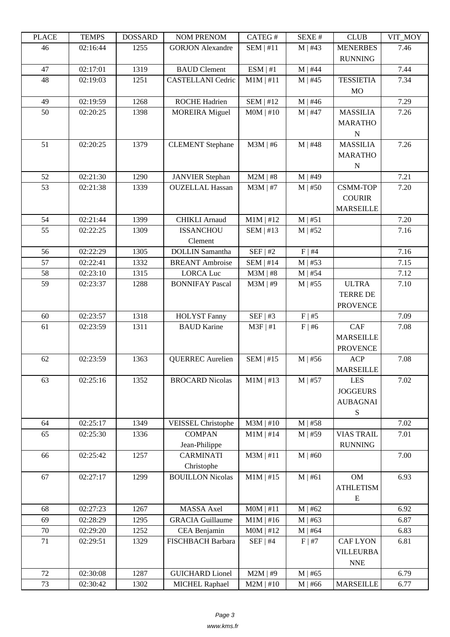| LEUCE  | <u>רי דומדיד ד</u> | <b>UUUUUUU</b> | <b>NUMERIAL NUM</b>       | CATLO T     | DL/AL π     | CLUD              | VII_MUI |
|--------|--------------------|----------------|---------------------------|-------------|-------------|-------------------|---------|
| 46     | 02:16:44           | 1255           | <b>GORJON Alexandre</b>   | $SEM$   #11 | $M$   #43   | <b>MENERBES</b>   | 7.46    |
|        |                    |                |                           |             |             | <b>RUNNING</b>    |         |
| 47     | 02:17:01           | 1319           | <b>BAUD</b> Clement       | ESM   #1    | $M$   #44   |                   | 7.44    |
| 48     | 02:19:03           | 1251           | <b>CASTELLANI</b> Cedric  | $M1M$   #11 | $M$   #45   | <b>TESSIETIA</b>  | 7.34    |
|        |                    |                |                           |             |             | <b>MO</b>         |         |
| 49     | 02:19:59           | 1268           | <b>ROCHE Hadrien</b>      | SEM   #12   | $M$   #46   |                   | 7.29    |
| 50     | 02:20:25           | 1398           | <b>MOREIRA</b> Miguel     | $MOM$   #10 | $M$   #47   | <b>MASSILIA</b>   | 7.26    |
|        |                    |                |                           |             |             | <b>MARATHO</b>    |         |
|        |                    |                |                           |             |             | ${\bf N}$         |         |
| 51     | 02:20:25           | 1379           | <b>CLEMENT</b> Stephane   | $M3M$   #6  | $M$   #48   | <b>MASSILIA</b>   | 7.26    |
|        |                    |                |                           |             |             | <b>MARATHO</b>    |         |
|        |                    |                |                           |             |             | ${\bf N}$         |         |
| 52     | 02:21:30           | 1290           | <b>JANVIER Stephan</b>    | $M2M$   #8  | $M$   #49   |                   | 7.21    |
| 53     | 02:21:38           | 1339           | <b>OUZELLAL Hassan</b>    | $M3M$   #7  | $M$   #50   | <b>CSMM-TOP</b>   | 7.20    |
|        |                    |                |                           |             |             | <b>COURIR</b>     |         |
|        |                    |                |                           |             |             | <b>MARSEILLE</b>  |         |
| 54     | 02:21:44           | 1399           | <b>CHIKLI Arnaud</b>      | $M1M$   #12 | M   #51     |                   | 7.20    |
| 55     | 02:22:25           | 1309           | <b>ISSANCHOU</b>          | $SEM$   #13 | $M$   #52   |                   | 7.16    |
|        |                    |                | Clement                   |             |             |                   |         |
| 56     | 02:22:29           | 1305           | <b>DOLLIN</b> Samantha    | SEF   #2    | F   #4      |                   | 7.16    |
| 57     | 02:22:41           | 1332           | <b>BREANT</b> Ambroise    | $SEM$   #14 | $M$   #53   |                   | 7.15    |
| 58     | 02:23:10           | 1315           | <b>LORCA Luc</b>          | $M3M$   #8  | $M$   #54   |                   | 7.12    |
| 59     | 02:23:37           | 1288           | <b>BONNIFAY Pascal</b>    | $M3M$   #9  | $M$   #55   | <b>ULTRA</b>      | 7.10    |
|        |                    |                |                           |             |             | <b>TERRE DE</b>   |         |
|        |                    |                |                           |             |             | <b>PROVENCE</b>   |         |
| 60     | 02:23:57           | 1318           | <b>HOLYST Fanny</b>       | SEF   #3    | $F$   #5    |                   | 7.09    |
| 61     | 02:23:59           | 1311           | <b>BAUD Karine</b>        | $M3F$   #1  | $F \mid #6$ | CAF               | 7.08    |
|        |                    |                |                           |             |             | <b>MARSEILLE</b>  |         |
|        |                    |                |                           |             |             | <b>PROVENCE</b>   |         |
| 62     | 02:23:59           | 1363           | <b>QUERREC</b> Aurelien   | $SEM$   #15 | $M$   #56   | <b>ACP</b>        | 7.08    |
|        |                    |                |                           |             |             | <b>MARSEILLE</b>  |         |
| 63     | 02:25:16           | 1352           | <b>BROCARD Nicolas</b>    | $M1M$   #13 | $M$   #57   | <b>LES</b>        | 7.02    |
|        |                    |                |                           |             |             | <b>JOGGEURS</b>   |         |
|        |                    |                |                           |             |             | <b>AUBAGNAI</b>   |         |
|        |                    |                |                           |             |             | S                 |         |
| 64     | 02:25:17           | 1349           | <b>VEISSEL Christophe</b> | $M3M$   #10 | $M$   #58   |                   | 7.02    |
| 65     | 02:25:30           | 1336           | <b>COMPAN</b>             | $M1M$   #14 | $M$   #59   | <b>VIAS TRAIL</b> | 7.01    |
|        |                    |                | Jean-Philippe             |             |             | <b>RUNNING</b>    |         |
| 66     | 02:25:42           | 1257           | <b>CARMINATI</b>          | $M3M$   #11 | $M$   #60   |                   | 7.00    |
|        |                    |                | Christophe                |             |             |                   |         |
| 67     | 02:27:17           | 1299           | <b>BOUILLON Nicolas</b>   | $M1M$   #15 | M   #61     | OM                | 6.93    |
|        |                    |                |                           |             |             | <b>ATHLETISM</b>  |         |
|        |                    |                |                           |             |             | E                 |         |
| 68     | 02:27:23           | 1267           | MASSA Axel                | $MOM$   #11 | M   #62     |                   | 6.92    |
| 69     | 02:28:29           | 1295           | <b>GRACIA Guillaume</b>   | $M1M$   #16 | $M$   #63   |                   | 6.87    |
| $70\,$ | 02:29:20           | 1252           | CEA Benjamin              | $MOM$   #12 | $M$   #64   |                   | 6.83    |
| 71     | 02:29:51           | 1329           | FISCHBACH Barbara         | $SEF$   #4  | F   #7      | <b>CAF LYON</b>   | 6.81    |
|        |                    |                |                           |             |             | <b>VILLEURBA</b>  |         |
|        |                    |                |                           |             |             | <b>NNE</b>        |         |
| 72     | 02:30:08           | 1287           | <b>GUICHARD Lionel</b>    | $M2M$   #9  | $M$   #65   |                   | 6.79    |
| 73     | 02:30:42           | 1302           | <b>MICHEL Raphael</b>     | $M2M$   #10 | $M$   #66   | <b>MARSEILLE</b>  | 6.77    |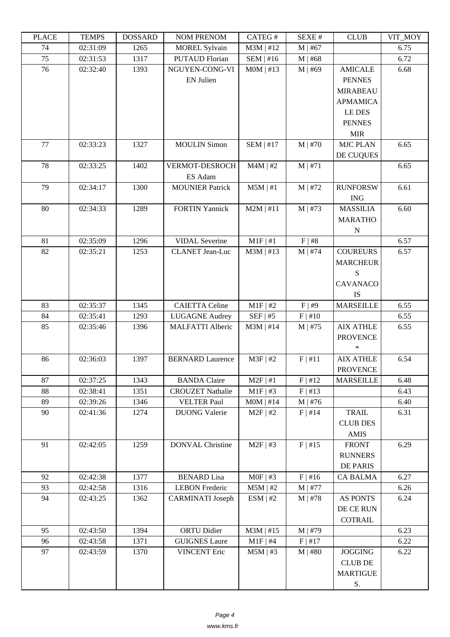| LLAUD | L LIVIII D | <b>UUUUUUU</b> | <b>NUMERENUM</b>        | <b>CATLOT</b> | υL/ΛL π      | $C$ LUD          | VII_MUI |
|-------|------------|----------------|-------------------------|---------------|--------------|------------------|---------|
| 74    | 02:31:09   | 1265           | <b>MOREL Sylvain</b>    | $M3M$   #12   | $M$   #67    |                  | 6.75    |
| 75    | 02:31:53   | 1317           | <b>PUTAUD Florian</b>   | SEM   #16     | $M$   #68    |                  | 6.72    |
| 76    | 02:32:40   | 1393           | NGUYEN-CONG-VI          | $MOM$   #13   | $M \mid #69$ | <b>AMICALE</b>   | 6.68    |
|       |            |                | <b>EN Julien</b>        |               |              | <b>PENNES</b>    |         |
|       |            |                |                         |               |              | <b>MIRABEAU</b>  |         |
|       |            |                |                         |               |              | <b>APMAMICA</b>  |         |
|       |            |                |                         |               |              | LE DES           |         |
|       |            |                |                         |               |              | <b>PENNES</b>    |         |
|       |            |                |                         |               |              | <b>MIR</b>       |         |
| 77    | 02:33:23   | 1327           | <b>MOULIN Simon</b>     | $SEM$   #17   | $M$   #70    | <b>MJC PLAN</b>  | 6.65    |
|       |            |                |                         |               |              | DE CUQUES        |         |
| 78    | 02:33:25   | 1402           | VERMOT-DESROCH          | $M4M$   #2    | M   #71      |                  | 6.65    |
|       |            |                | ES Adam                 |               |              |                  |         |
| 79    | 02:34:17   | 1300           | <b>MOUNIER Patrick</b>  | $M5M$   #1    | $M$   #72    | <b>RUNFORSW</b>  | 6.61    |
|       |            |                |                         |               |              | <b>ING</b>       |         |
| 80    | 02:34:33   | 1289           | <b>FORTIN Yannick</b>   | $M2M$   #11   | $M$   #73    | <b>MASSILIA</b>  | 6.60    |
|       |            |                |                         |               |              | <b>MARATHO</b>   |         |
|       |            |                |                         |               |              | $\mathbf N$      |         |
| 81    | 02:35:09   | 1296           | <b>VIDAL Severine</b>   | $M1F$   #1    | F   #8       |                  | 6.57    |
| 82    | 02:35:21   | 1253           | <b>CLANET</b> Jean-Luc  | $M3M$   #13   | $M$   #74    | <b>COUREURS</b>  | 6.57    |
|       |            |                |                         |               |              | <b>MARCHEUR</b>  |         |
|       |            |                |                         |               |              | S                |         |
|       |            |                |                         |               |              | <b>CAVANACO</b>  |         |
|       |            |                |                         |               |              | <b>IS</b>        |         |
| 83    | 02:35:37   | 1345           | <b>CAIETTA Celine</b>   | $M1F$ #2      | F   #9       | <b>MARSEILLE</b> | 6.55    |
| 84    | 02:35:41   | 1293           | <b>LUGAGNE Audrey</b>   | $SEF$   #5    | F   #10      |                  | 6.55    |
| 85    | 02:35:46   | 1396           | <b>MALFATTI Alberic</b> | $M3M$   #14   | $M$   #75    | <b>AIX ATHLE</b> | 6.55    |
|       |            |                |                         |               |              | <b>PROVENCE</b>  |         |
|       |            |                |                         |               |              | *                |         |
| 86    | 02:36:03   | 1397           | <b>BERNARD Laurence</b> | $M3F$   #2    | F   #11      | <b>AIX ATHLE</b> | 6.54    |
|       |            |                |                         |               |              | <b>PROVENCE</b>  |         |
| 87    | 02:37:25   | 1343           | <b>BANDA</b> Claire     | $M2F$   #1    | F   #12      | <b>MARSEILLE</b> | 6.48    |
| 88    | 02:38:41   | 1351           | <b>CROUZET Nathalie</b> | $M1F$   #3    | F   #13      |                  | 6.43    |
| 89    | 02:39:26   | 1346           | <b>VELTER Paul</b>      | MOM   #14     | $M \mid #76$ |                  | 6.40    |
| 90    | 02:41:36   | 1274           | <b>DUONG</b> Valerie    | $M2F$   #2    | F   #14      | TRAIL            | 6.31    |
|       |            |                |                         |               |              | <b>CLUB DES</b>  |         |
|       |            |                |                         |               |              | <b>AMIS</b>      |         |
| 91    | 02:42:05   | 1259           | <b>DONVAL Christine</b> | $M2F$ #3      | F   #15      | <b>FRONT</b>     | 6.29    |
|       |            |                |                         |               |              | <b>RUNNERS</b>   |         |
|       |            |                |                         |               |              | <b>DE PARIS</b>  |         |
| 92    | 02:42:38   | 1377           | <b>BENARD</b> Lisa      | $MOF$   #3    | $F$   #16    | <b>CA BALMA</b>  | 6.27    |
| 93    | 02:42:58   | 1316           | <b>LEBON Frederic</b>   | $M5M$   #2    | $M$   #77    |                  | 6.26    |
| 94    | 02:43:25   | 1362           | <b>CARMINATI</b> Joseph | ESM   #2      | $M$   #78    | <b>AS PONTS</b>  | 6.24    |
|       |            |                |                         |               |              | DE CE RUN        |         |
|       |            |                |                         |               |              | <b>COTRAIL</b>   |         |
| 95    | 02:43:50   | 1394           | <b>ORTU Didier</b>      | $M3M$   #15   | $M$   #79    |                  | 6.23    |
| 96    | 02:43:58   | 1371           | <b>GUIGNES Laure</b>    | $M1F$   #4    | F   #17      |                  | 6.22    |
| 97    | 02:43:59   | 1370           | <b>VINCENT Eric</b>     | $M5M$   #3    | $M$   #80    | <b>JOGGING</b>   | 6.22    |
|       |            |                |                         |               |              | <b>CLUB DE</b>   |         |
|       |            |                |                         |               |              | <b>MARTIGUE</b>  |         |
|       |            |                |                         |               |              | S.               |         |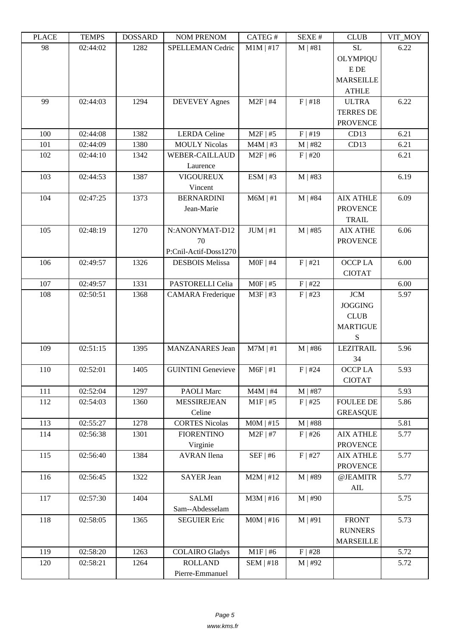| LEACE   | <b>TENTLO</b> | <b>UUUUUUU</b> | <b>NUMBER ON T</b>        | CATEU T       | υL/ΛL π   | CLUD             | VII_MUI |
|---------|---------------|----------------|---------------------------|---------------|-----------|------------------|---------|
| 98      | 02:44:02      | 1282           | SPELLEMAN Cedric          | $M1M$   #17   | $M$   #81 | <b>SL</b>        | 6.22    |
|         |               |                |                           |               |           | OLYMPIQU         |         |
|         |               |                |                           |               |           | ${\bf E}$ DE     |         |
|         |               |                |                           |               |           | <b>MARSEILLE</b> |         |
|         |               |                |                           |               |           | <b>ATHLE</b>     |         |
| 99      | 02:44:03      | 1294           | <b>DEVEVEY Agnes</b>      | $M2F$   #4    | F   #18   | <b>ULTRA</b>     | 6.22    |
|         |               |                |                           |               |           | <b>TERRES DE</b> |         |
|         |               |                |                           |               |           | <b>PROVENCE</b>  |         |
| 100     | 02:44:08      | 1382           | <b>LERDA</b> Celine       | $M2F$   #5    | F   #19   | CD13             | 6.21    |
| 101     | 02:44:09      | 1380           | <b>MOULY Nicolas</b>      | $M4M$   #3    | $M$   #82 | CD13             | 6.21    |
| 102     | 02:44:10      | 1342           | <b>WEBER-CAILLAUD</b>     | $M2F$   #6    | F   #20   |                  | 6.21    |
|         |               |                | Laurence                  |               |           |                  |         |
| 103     | 02:44:53      | 1387           | <b>VIGOUREUX</b>          | ESM   #3      | $M$   #83 |                  | 6.19    |
|         |               |                | Vincent                   |               |           |                  |         |
| 104     | 02:47:25      | 1373           | <b>BERNARDINI</b>         | $M6M \mid #1$ | $M$   #84 | <b>AIX ATHLE</b> | 6.09    |
|         |               |                | Jean-Marie                |               |           | <b>PROVENCE</b>  |         |
|         |               |                |                           |               |           | <b>TRAIL</b>     |         |
| 105     | 02:48:19      | 1270           | N:ANONYMAT-D12            | JUM   #1      | $M$   #85 | <b>AIX ATHE</b>  | 6.06    |
|         |               |                | 70                        |               |           | <b>PROVENCE</b>  |         |
|         |               |                | P:Cnil-Actif-Doss1270     |               |           |                  |         |
| 106     | 02:49:57      | 1326           | <b>DESBOIS Melissa</b>    | $MOF$   #4    | F   #21   | <b>OCCPLA</b>    | 6.00    |
|         |               |                |                           |               |           | <b>CIOTAT</b>    |         |
| $107\,$ | 02:49:57      | 1331           | PASTORELLI Celia          | $M0F$   #5    | F   #22   |                  | 6.00    |
| 108     | 02:50:51      | 1368           | <b>CAMARA</b> Frederique  | $M3F$   #3    | $F$   #23 | <b>JCM</b>       | 5.97    |
|         |               |                |                           |               |           | <b>JOGGING</b>   |         |
|         |               |                |                           |               |           | CLUB             |         |
|         |               |                |                           |               |           | <b>MARTIGUE</b>  |         |
|         |               |                |                           |               |           | S                |         |
| 109     | 02:51:15      | 1395           |                           |               |           | <b>LEZITRAIL</b> | 5.96    |
|         |               |                | MANZANARES Jean           | $M7M$   #1    | $M$   #86 |                  |         |
| 110     | 02:52:01      |                | <b>GUINTINI</b> Genevieve | $M6F$   #1    |           | 34<br>OCCP LA    | 5.93    |
|         |               | 1405           |                           |               | $F$   #24 |                  |         |
|         |               |                |                           |               | $M$   #87 | <b>CIOTAT</b>    |         |
| 111     | 02:52:04      | 1297           | PAOLI Marc                | $M4M$   #4    |           | <b>FOULEE DE</b> | 5.93    |
| 112     | 02:54:03      | 1360           | <b>MESSIREJEAN</b>        | $M1F$   #5    | $F$   #25 |                  | 5.86    |
|         |               |                | Celine                    |               |           | <b>GREASQUE</b>  |         |
| 113     | 02:55:27      | 1278           | <b>CORTES Nicolas</b>     | $MOM$   #15   | $M$   #88 |                  | 5.81    |
| 114     | 02:56:38      | 1301           | <b>FIORENTINO</b>         | $M2F$   #7    | $F$   #26 | <b>AIX ATHLE</b> | 5.77    |
| 115     | 02:56:40      | 1384           | Virginie                  | $SEF$   #6    | F   #27   | <b>PROVENCE</b>  |         |
|         |               |                | <b>AVRAN</b> Ilena        |               |           | <b>AIX ATHLE</b> | 5.77    |
|         |               |                |                           |               |           | <b>PROVENCE</b>  |         |
| 116     | 02:56:45      | 1322           | <b>SAYER</b> Jean         | $M2M$   #12   | M   #89   | @JEAMITR         | 5.77    |
|         |               |                |                           |               |           | $\mbox{AIL}$     |         |
| 117     | 02:57:30      | 1404           | <b>SALMI</b>              | $M3M$   #16   | $M$   #90 |                  | 5.75    |
|         |               |                | Sam--Abdesselam           |               |           |                  |         |
| 118     | 02:58:05      | 1365           | <b>SEGUIER Eric</b>       | $MOM$   #16   | M   #91   | <b>FRONT</b>     | 5.73    |
|         |               |                |                           |               |           | <b>RUNNERS</b>   |         |
|         |               |                |                           |               |           | <b>MARSEILLE</b> |         |
| 119     | 02:58:20      | 1263           | <b>COLAIRO Gladys</b>     | $M1F$   #6    | F   #28   |                  | 5.72    |
| 120     | 02:58:21      | 1264           | <b>ROLLAND</b>            | SEM   #18     | $M$   #92 |                  | 5.72    |
|         |               |                | Pierre-Emmanuel           |               |           |                  |         |